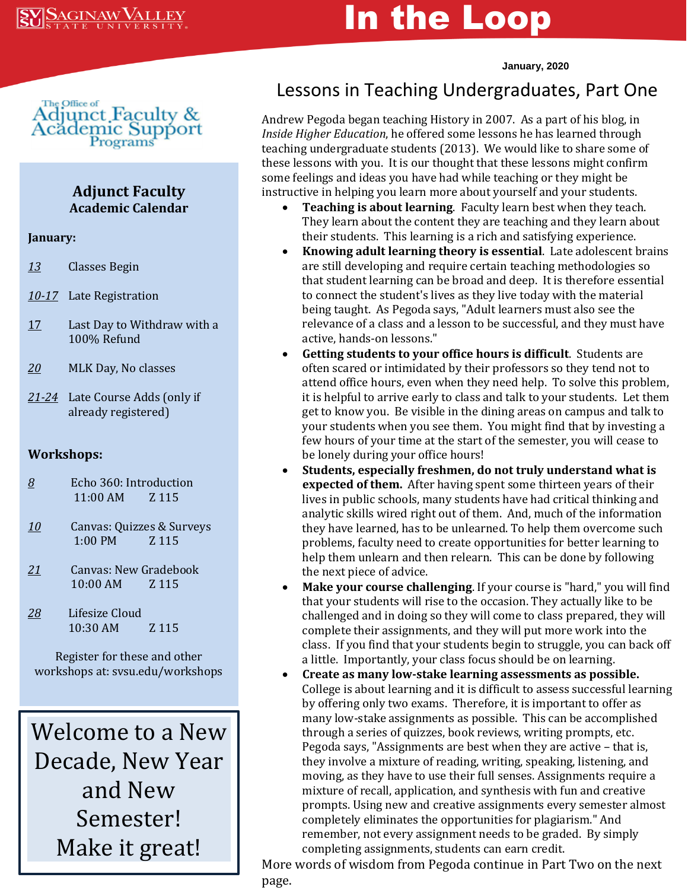# In the Loop

**January, 2020**



### **Adjunct Faculty Academic Calendar**

#### **January:**

- *13* Classes Begin
- *10-17* Late Registration
- 17 Last Day to Withdraw with a 100% Refund
- *20* MLK Day, No classes
- *21-24* Late Course Adds (only if already registered)

#### **Workshops:**

- *8* Echo 360: Introduction 11:00 AM Z 115
- *10* Canvas: Quizzes & Surveys 1:00 PM Z 115
- *21* Canvas: New Gradebook 10:00 AM Z 115
- *28* Lifesize Cloud 10:30 AM Z 115

Register for these and other workshops at: svsu.edu/workshops

Welcome to a New Decade, New Year and New Semester! Make it great!

## Lessons in Teaching Undergraduates, Part One

andrew Pegoda began teaching History in 2007. As a part of his blog, in *Inside Higher Education*, he offered some lessons he has learned through teaching undergraduate students (2013). We would like to share some of these lessons with you. It is our thought that these lessons might confirm<br>some feelings and ideas you have had while teaching or they might be teaching undergraduate students (2013). We would like to share some of some feelings and ideas you have had while teaching or they might be instructive in helping you learn more about yourself and your students.

- **Teaching is about learning**. Faculty learn best when they teach. They learn about the content they are teaching and they learn about their students. This learning is a rich and satisfying experience.
- **Knowing adult learning theory is essential**. Late adolescent brains are still developing and require certain teaching methodologies so that student learning can be broad and deep. It is therefore essential to connect the student's lives as they live today with the material being taught. As Pegoda says, "Adult learners must also see the relevance of a class and a lesson to be successful, and they must have active, hands-on lessons."
- **Getting students to your office hours is difficult**. Students are often scared or intimidated by their professors so they tend not to attend office hours, even when they need help. To solve this problem, it is helpful to arrive early to class and talk to your students. Let them get to know you. Be visible in the dining areas on campus and talk to your students when you see them. You might find that by investing a few hours of your time at the start of the semester, you will cease to be lonely during your office hours!
- **Students, especially freshmen, do not truly understand what is expected of them.** After having spent some thirteen years of their lives in public schools, many students have had critical thinking and analytic skills wired right out of them. And, much of the information they have learned, has to be unlearned. To help them overcome such problems, faculty need to create opportunities for better learning to help them unlearn and then relearn. This can be done by following the next piece of advice.
- **Make your course challenging**. If your course is "hard," you will find that your students will rise to the occasion. They actually like to be challenged and in doing so they will come to class prepared, they will complete their assignments, and they will put more work into the class. If you find that your students begin to struggle, you can back off a little. Importantly, your class focus should be on learning.
- **Create as many low-stake learning assessments as possible.**  College is about learning and it is difficult to assess successful learning by offering only two exams. Therefore, it is important to offer as many low-stake assignments as possible. This can be accomplished through a series of quizzes, book reviews, writing prompts, etc. Pegoda says, "Assignments are best when they are active – that is, they involve a mixture of reading, writing, speaking, listening, and moving, as they have to use their full senses. Assignments require a mixture of recall, application, and synthesis with fun and creative prompts. Using new and creative assignments every semester almost completely eliminates the opportunities for plagiarism." And remember, not every assignment needs to be graded. By simply completing assignments, students can earn credit.

• More words of wisdom from Pegoda continue in Part Two on the next page.